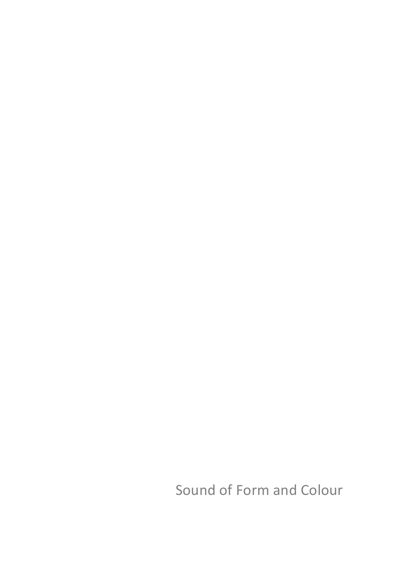Sound of Form and Colour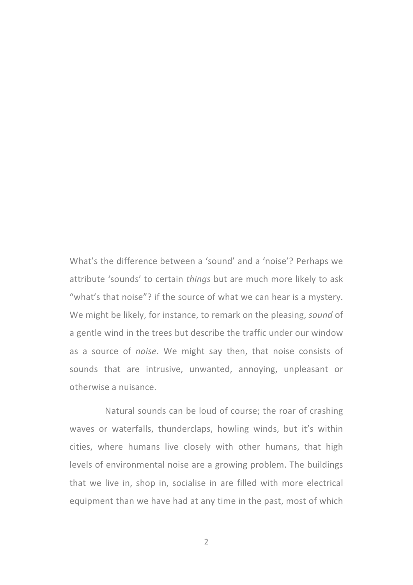What's the difference between a 'sound' and a 'noise'? Perhaps we attribute 'sounds' to certain *things* but are much more likely to ask "what's that noise"? if the source of what we can hear is a mystery. We might be likely, for instance, to remark on the pleasing, *sound* of a gentle wind in the trees but describe the traffic under our window as a source of *noise*. We might say then, that noise consists of sounds that are intrusive, unwanted, annoying, unpleasant or otherwise a nuisance.

Natural sounds can be loud of course; the roar of crashing waves or waterfalls, thunderclaps, howling winds, but it's within cities, where humans live closely with other humans, that high levels of environmental noise are a growing problem. The buildings that we live in, shop in, socialise in are filled with more electrical equipment than we have had at any time in the past, most of which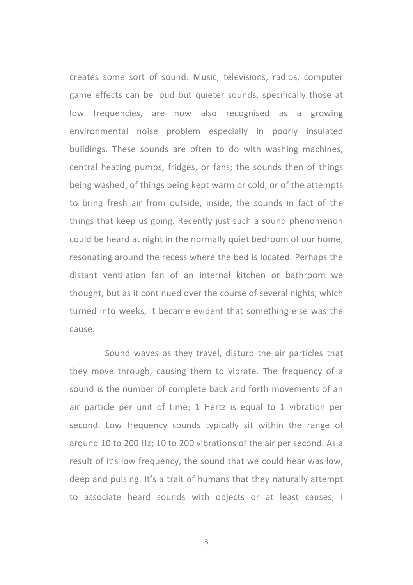creates some sort of sound. Music, televisions, radios, computer game effects can be loud but quieter sounds, specifically those at low frequencies, are now also recognised as a growing environmental noise problem especially in poorly insulated buildings. These sounds are often to do with washing machines, central heating pumps, fridges, or fans; the sounds then of things being washed, of things being kept warm or cold, or of the attempts to bring fresh air from outside, inside, the sounds in fact of the things that keep us going. Recently just such a sound phenomenon could be heard at night in the normally quiet bedroom of our home, resonating around the recess where the bed is located. Perhaps the distant ventilation fan of an internal kitchen or bathroom we thought, but as it continued over the course of several nights, which turned into weeks, it became evident that something else was the cause.

Sound waves as they travel, disturb the air particles that they move through, causing them to vibrate. The frequency of a sound is the number of complete back and forth movements of an air particle per unit of time: 1 Hertz is equal to 1 vibration per second. Low frequency sounds typically sit within the range of around 10 to 200 Hz; 10 to 200 vibrations of the air per second. As a result of it's low frequency, the sound that we could hear was low, deep and pulsing. It's a trait of humans that they naturally attempt to associate heard sounds with objects or at least causes; I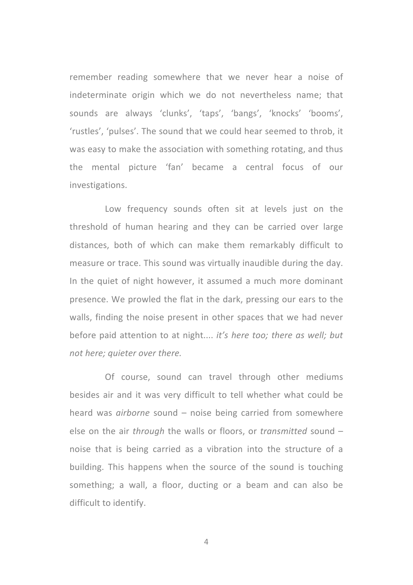remember reading somewhere that we never hear a noise of indeterminate origin which we do not nevertheless name; that sounds are always 'clunks', 'taps', 'bangs', 'knocks' 'booms', 'rustles', 'pulses'. The sound that we could hear seemed to throb, it was easy to make the association with something rotating, and thus the mental picture 'fan' became a central focus of our investigations.

Low frequency sounds often sit at levels just on the threshold of human hearing and they can be carried over large distances, both of which can make them remarkably difficult to measure or trace. This sound was virtually inaudible during the day. In the quiet of night however, it assumed a much more dominant presence. We prowled the flat in the dark, pressing our ears to the walls, finding the noise present in other spaces that we had never before paid attention to at night.... *it's here too; there as well; but not here; quieter over there.*

Of course, sound can travel through other mediums besides air and it was very difficult to tell whether what could be heard was *airborne* sound – noise being carried from somewhere else on the air *through* the walls or floors, or *transmitted* sound – noise that is being carried as a vibration into the structure of a building. This happens when the source of the sound is touching something; a wall, a floor, ducting or a beam and can also be difficult to identify.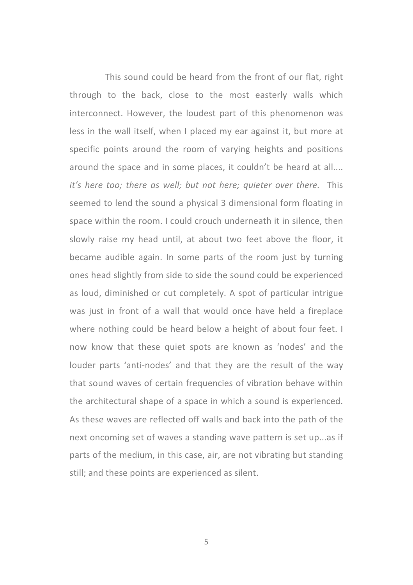This sound could be heard from the front of our flat, right through to the back, close to the most easterly walls which interconnect. However, the loudest part of this phenomenon was less in the wall itself, when I placed my ear against it, but more at specific points around the room of varying heights and positions around the space and in some places, it couldn't be heard at all.... *it's* here too; there as well; but not here; quieter over there. This seemed to lend the sound a physical 3 dimensional form floating in space within the room. I could crouch underneath it in silence, then slowly raise my head until, at about two feet above the floor, it became audible again. In some parts of the room just by turning ones head slightly from side to side the sound could be experienced as loud, diminished or cut completely. A spot of particular intrigue was just in front of a wall that would once have held a fireplace where nothing could be heard below a height of about four feet. I now know that these quiet spots are known as 'nodes' and the louder parts 'anti-nodes' and that they are the result of the way that sound waves of certain frequencies of vibration behave within the architectural shape of a space in which a sound is experienced. As these waves are reflected off walls and back into the path of the next oncoming set of waves a standing wave pattern is set up...as if parts of the medium, in this case, air, are not vibrating but standing still; and these points are experienced as silent.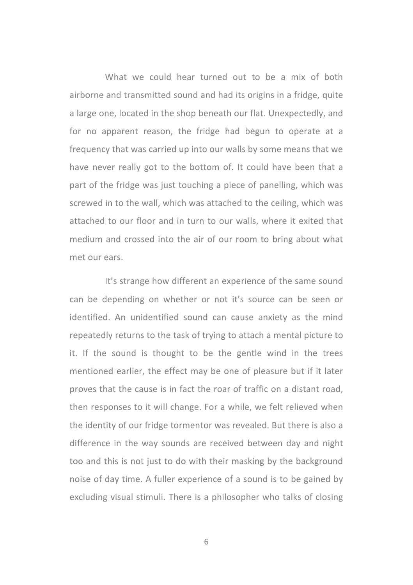What we could hear turned out to be a mix of both airborne and transmitted sound and had its origins in a fridge, quite a large one, located in the shop beneath our flat. Unexpectedly, and for no apparent reason, the fridge had begun to operate at a frequency that was carried up into our walls by some means that we have never really got to the bottom of. It could have been that a part of the fridge was just touching a piece of panelling, which was screwed in to the wall, which was attached to the ceiling, which was attached to our floor and in turn to our walls, where it exited that medium and crossed into the air of our room to bring about what met our ears.

It's strange how different an experience of the same sound can be depending on whether or not it's source can be seen or identified. An unidentified sound can cause anxiety as the mind repeatedly returns to the task of trying to attach a mental picture to it. If the sound is thought to be the gentle wind in the trees mentioned earlier, the effect may be one of pleasure but if it later proves that the cause is in fact the roar of traffic on a distant road, then responses to it will change. For a while, we felt relieved when the identity of our fridge tormentor was revealed. But there is also a difference in the way sounds are received between day and night too and this is not just to do with their masking by the background noise of day time. A fuller experience of a sound is to be gained by excluding visual stimuli. There is a philosopher who talks of closing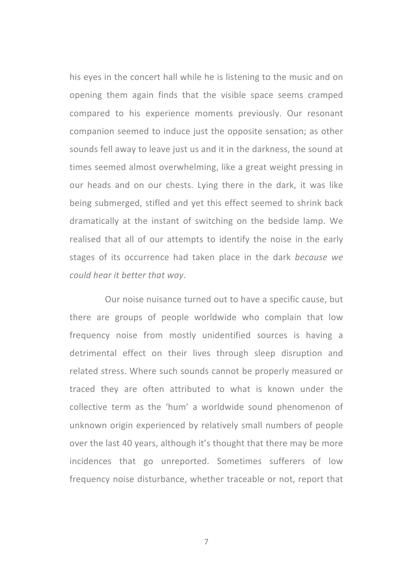his eyes in the concert hall while he is listening to the music and on opening them again finds that the visible space seems cramped compared to his experience moments previously. Our resonant companion seemed to induce just the opposite sensation; as other sounds fell away to leave just us and it in the darkness, the sound at times seemed almost overwhelming, like a great weight pressing in our heads and on our chests. Lying there in the dark, it was like being submerged, stifled and yet this effect seemed to shrink back dramatically at the instant of switching on the bedside lamp. We realised that all of our attempts to identify the noise in the early stages of its occurrence had taken place in the dark *because* we *could hear it better that way*. 

Our noise nuisance turned out to have a specific cause, but there are groups of people worldwide who complain that low frequency noise from mostly unidentified sources is having a detrimental effect on their lives through sleep disruption and related stress. Where such sounds cannot be properly measured or traced they are often attributed to what is known under the collective term as the 'hum' a worldwide sound phenomenon of unknown origin experienced by relatively small numbers of people over the last 40 years, although it's thought that there may be more incidences that go unreported. Sometimes sufferers of low frequency noise disturbance, whether traceable or not, report that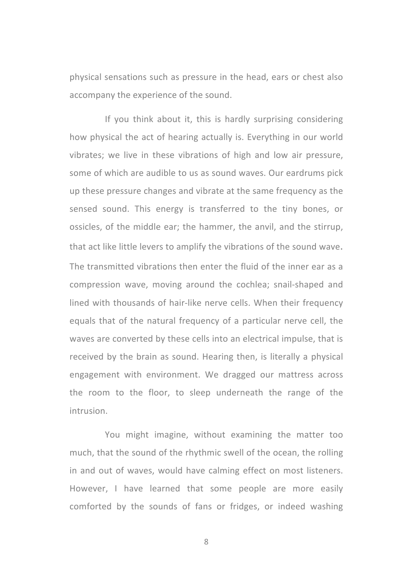physical sensations such as pressure in the head, ears or chest also accompany the experience of the sound.

If you think about it, this is hardly surprising considering how physical the act of hearing actually is. Everything in our world vibrates; we live in these vibrations of high and low air pressure, some of which are audible to us as sound waves. Our eardrums pick up these pressure changes and vibrate at the same frequency as the sensed sound. This energy is transferred to the tiny bones, or ossicles, of the middle ear; the hammer, the anvil, and the stirrup, that act like little levers to amplify the vibrations of the sound wave. The transmitted vibrations then enter the fluid of the inner ear as a compression wave, moving around the cochlea; snail-shaped and lined with thousands of hair-like nerve cells. When their frequency equals that of the natural frequency of a particular nerve cell, the waves are converted by these cells into an electrical impulse, that is received by the brain as sound. Hearing then, is literally a physical engagement with environment. We dragged our mattress across the room to the floor, to sleep underneath the range of the intrusion. 

You might imagine, without examining the matter too much, that the sound of the rhythmic swell of the ocean, the rolling in and out of waves, would have calming effect on most listeners. However, I have learned that some people are more easily comforted by the sounds of fans or fridges, or indeed washing